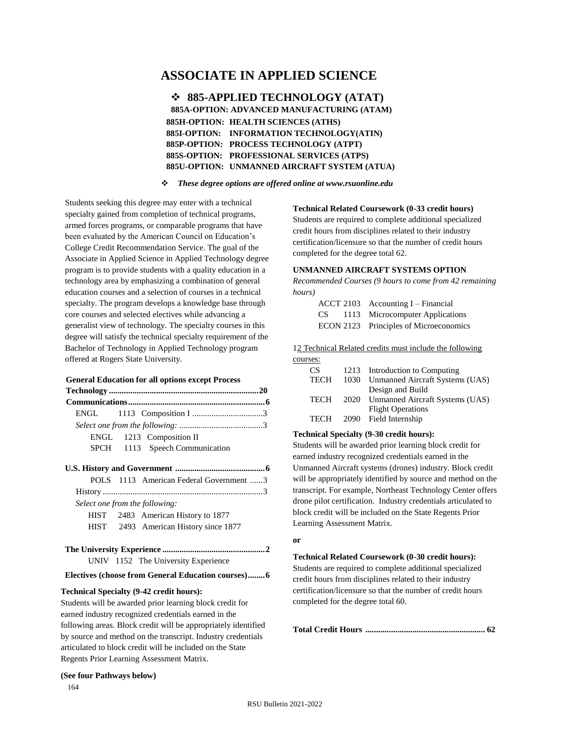# **ASSOCIATE IN APPLIED SCIENCE**

❖ **885-APPLIED TECHNOLOGY (ATAT) 885A-OPTION: ADVANCED MANUFACTURING (ATAM) 885H-OPTION: HEALTH SCIENCES (ATHS) 885I-OPTION: INFORMATION TECHNOLOGY(ATIN) 885P-OPTION: PROCESS TECHNOLOGY (ATPT) 885S-OPTION: PROFESSIONAL SERVICES (ATPS) 885U-OPTION: UNMANNED AIRCRAFT SYSTEM (ATUA)**

❖ *These degree options are offered online at www.rsuonline.edu*

Students seeking this degree may enter with a technical specialty gained from completion of technical programs, armed forces programs, or comparable programs that have been evaluated by the American Council on Education's College Credit Recommendation Service. The goal of the Associate in Applied Science in Applied Technology degree program is to provide students with a quality education in a technology area by emphasizing a combination of general education courses and a selection of courses in a technical specialty. The program develops a knowledge base through core courses and selected electives while advancing a generalist view of technology. The specialty courses in this degree will satisfy the technical specialty requirement of the Bachelor of Technology in Applied Technology program offered at Rogers State University.

#### **General Education for all options except Process**

| ENGL                           |  |                                                    |  |  |
|--------------------------------|--|----------------------------------------------------|--|--|
|                                |  |                                                    |  |  |
|                                |  | ENGL 1213 Composition II                           |  |  |
|                                |  | SPCH 1113 Speech Communication                     |  |  |
|                                |  |                                                    |  |  |
|                                |  | POLS 1113 American Federal Government 3            |  |  |
|                                |  |                                                    |  |  |
| Select one from the following: |  |                                                    |  |  |
| <b>HIST</b>                    |  | 2483 American History to 1877                      |  |  |
|                                |  | HIST 2493 American History since 1877              |  |  |
|                                |  |                                                    |  |  |
|                                |  | UNIV 1152 The University Experience                |  |  |
|                                |  | Electives (choose from General Education courses)6 |  |  |

#### **Technical Specialty (9-42 credit hours):**

Students will be awarded prior learning block credit for earned industry recognized credentials earned in the following areas. Block credit will be appropriately identified by source and method on the transcript. Industry credentials articulated to block credit will be included on the State Regents Prior Learning Assessment Matrix.

### **(See four Pathways below)**

164

#### **Technical Related Coursework (0-33 credit hours)**

Students are required to complete additional specialized credit hours from disciplines related to their industry certification/licensure so that the number of credit hours completed for the degree total 62.

#### **UNMANNED AIRCRAFT SYSTEMS OPTION**

*Recommended Courses (9 hours to come from 42 remaining hours)* 

|      | $ACCT 2103$ Accounting I – Financial   |
|------|----------------------------------------|
| CS — | 1113 Microcomputer Applications        |
|      | ECON 2123 Principles of Microeconomics |

12 Technical Related credits must include the following courses:

| CS.         | 1213 Introduction to Computing       |
|-------------|--------------------------------------|
| <b>TECH</b> | 1030 Unmanned Aircraft Systems (UAS) |
|             | Design and Build                     |
| <b>TECH</b> | 2020 Unmanned Aircraft Systems (UAS) |
|             | <b>Flight Operations</b>             |
| TECH        | 2090 Field Internship                |

#### **Technical Specialty (9-30 credit hours):**

Students will be awarded prior learning block credit for earned industry recognized credentials earned in the Unmanned Aircraft systems (drones) industry. Block credit will be appropriately identified by source and method on the transcript. For example, Northeast Technology Center offers drone pilot certification. Industry credentials articulated to block credit will be included on the State Regents Prior Learning Assessment Matrix.

#### **or**

**Technical Related Coursework (0-30 credit hours):** Students are required to complete additional specialized credit hours from disciplines related to their industry certification/licensure so that the number of credit hours completed for the degree total 60.

**Total Credit Hours ........................................................ 62**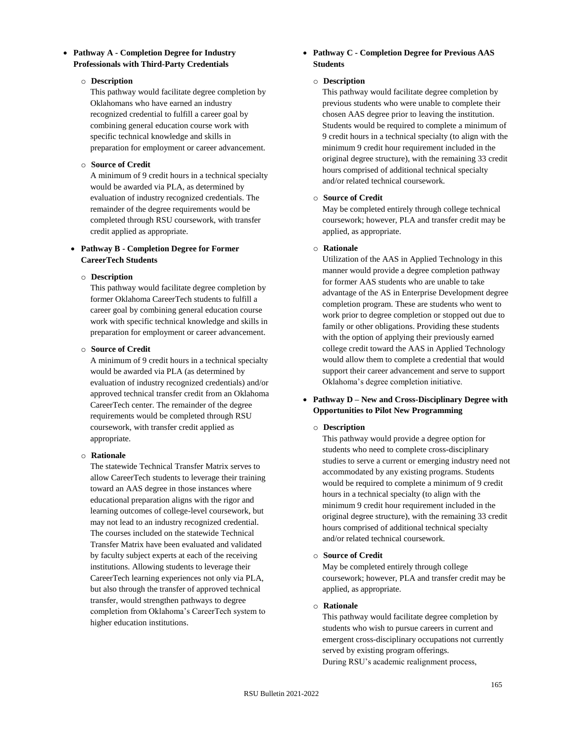## • **Pathway A - Completion Degree for Industry Professionals with Third-Party Credentials**

#### o **Description**

This pathway would facilitate degree completion by Oklahomans who have earned an industry recognized credential to fulfill a career goal by combining general education course work with specific technical knowledge and skills in preparation for employment or career advancement.

## o **Source of Credit**

A minimum of 9 credit hours in a technical specialty would be awarded via PLA, as determined by evaluation of industry recognized credentials. The remainder of the degree requirements would be completed through RSU coursework, with transfer credit applied as appropriate.

# • **Pathway B - Completion Degree for Former CareerTech Students**

### o **Description**

This pathway would facilitate degree completion by former Oklahoma CareerTech students to fulfill a career goal by combining general education course work with specific technical knowledge and skills in preparation for employment or career advancement.

#### o **Source of Credit**

A minimum of 9 credit hours in a technical specialty would be awarded via PLA (as determined by evaluation of industry recognized credentials) and/or approved technical transfer credit from an Oklahoma CareerTech center. The remainder of the degree requirements would be completed through RSU coursework, with transfer credit applied as appropriate.

### o **Rationale**

The statewide Technical Transfer Matrix serves to allow CareerTech students to leverage their training toward an AAS degree in those instances where educational preparation aligns with the rigor and learning outcomes of college-level coursework, but may not lead to an industry recognized credential. The courses included on the statewide Technical Transfer Matrix have been evaluated and validated by faculty subject experts at each of the receiving institutions. Allowing students to leverage their CareerTech learning experiences not only via PLA, but also through the transfer of approved technical transfer, would strengthen pathways to degree completion from Oklahoma's CareerTech system to higher education institutions.

## • **Pathway C - Completion Degree for Previous AAS Students**

## o **Description**

This pathway would facilitate degree completion by previous students who were unable to complete their chosen AAS degree prior to leaving the institution. Students would be required to complete a minimum of 9 credit hours in a technical specialty (to align with the minimum 9 credit hour requirement included in the original degree structure), with the remaining 33 credit hours comprised of additional technical specialty and/or related technical coursework.

### o **Source of Credit**

May be completed entirely through college technical coursework; however, PLA and transfer credit may be applied, as appropriate.

### o **Rationale**

Utilization of the AAS in Applied Technology in this manner would provide a degree completion pathway for former AAS students who are unable to take advantage of the AS in Enterprise Development degree completion program. These are students who went to work prior to degree completion or stopped out due to family or other obligations. Providing these students with the option of applying their previously earned college credit toward the AAS in Applied Technology would allow them to complete a credential that would support their career advancement and serve to support Oklahoma's degree completion initiative.

## • **Pathway D – New and Cross-Disciplinary Degree with Opportunities to Pilot New Programming**

## o **Description**

This pathway would provide a degree option for students who need to complete cross-disciplinary studies to serve a current or emerging industry need not accommodated by any existing programs. Students would be required to complete a minimum of 9 credit hours in a technical specialty (to align with the minimum 9 credit hour requirement included in the original degree structure), with the remaining 33 credit hours comprised of additional technical specialty and/or related technical coursework.

#### o **Source of Credit**

May be completed entirely through college coursework; however, PLA and transfer credit may be applied, as appropriate.

#### o **Rationale**

This pathway would facilitate degree completion by students who wish to pursue careers in current and emergent cross-disciplinary occupations not currently served by existing program offerings. During RSU's academic realignment process,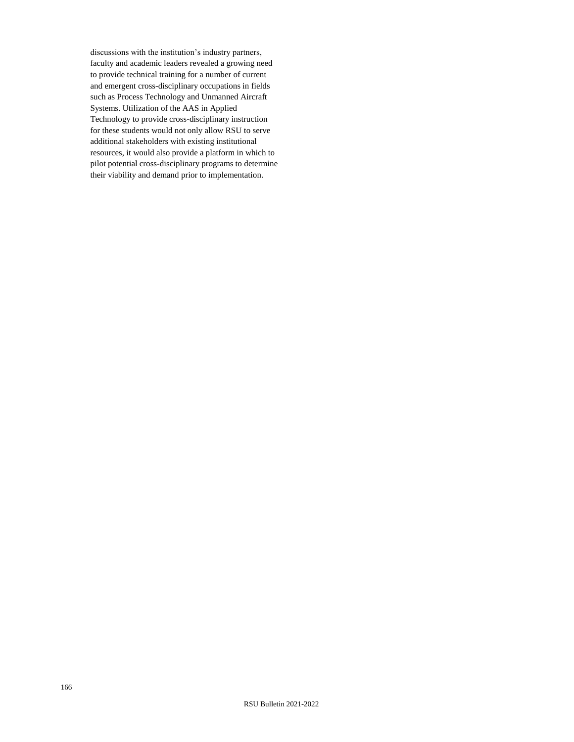discussions with the institution's industry partners, faculty and academic leaders revealed a growing need to provide technical training for a number of current and emergent cross-disciplinary occupations in fields such as Process Technology and Unmanned Aircraft Systems. Utilization of the AAS in Applied Technology to provide cross-disciplinary instruction for these students would not only allow RSU to serve additional stakeholders with existing institutional resources, it would also provide a platform in which to pilot potential cross-disciplinary programs to determine their viability and demand prior to implementation.